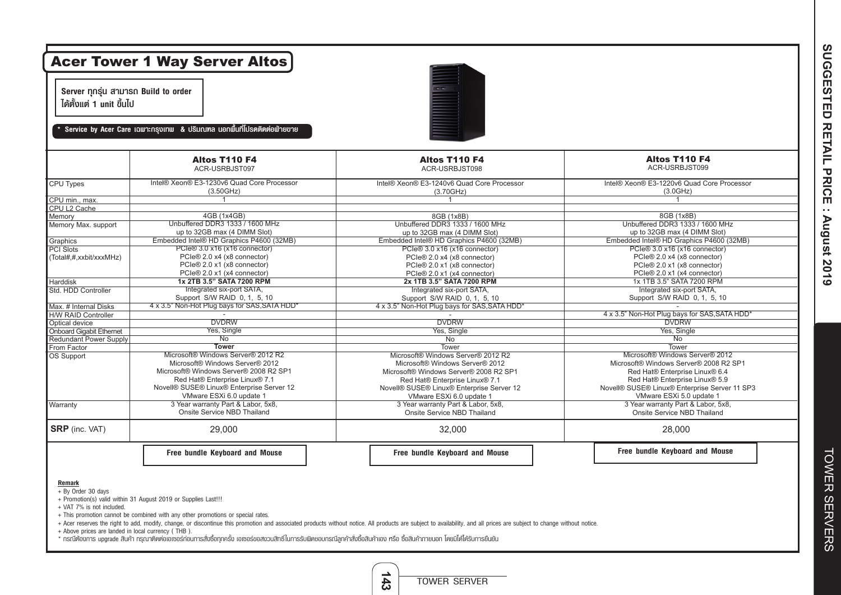| Server ทุกรุ่น สามารถ Build to order<br>ได้ตั้งแต่ 1 unit ขึ้นไป<br>Service by Acer Care เฉพาะกรุงเทพ & ปริมณฑล นอกพื้นที่โปรดติดต่อฟ่ายขาย |                                               |                                               |                                               |  |  |  |
|---------------------------------------------------------------------------------------------------------------------------------------------|-----------------------------------------------|-----------------------------------------------|-----------------------------------------------|--|--|--|
|                                                                                                                                             | Altos T110 F4<br>ACR-USRBJST097               | Altos T110 F4<br>ACR-USRBJST098               | Altos T110 F4<br>ACR-USRBJST099               |  |  |  |
| CPU Types                                                                                                                                   | Intel® Xeon® E3-1230v6 Quad Core Processor    | Intel® Xeon® E3-1240v6 Quad Core Processor    | Intel® Xeon® E3-1220v6 Quad Core Processor    |  |  |  |
|                                                                                                                                             | (3.50GHz)                                     | (3.70GHz)                                     | (3.0GHz)                                      |  |  |  |
| CPU min., max.                                                                                                                              | 1                                             | $\overline{1}$                                | $\mathbf{1}$                                  |  |  |  |
| CPU L2 Cache                                                                                                                                |                                               |                                               |                                               |  |  |  |
| Memory                                                                                                                                      | 4GB (1x4GB)                                   | 8GB (1x8B)                                    | 8GB (1x8B)                                    |  |  |  |
| Memory Max. support                                                                                                                         | Unbuffered DDR3 1333 / 1600 MHz               | Unbuffered DDR3 1333 / 1600 MHz               | Unbuffered DDR3 1333 / 1600 MHz               |  |  |  |
|                                                                                                                                             | up to 32GB max (4 DIMM Slot)                  | up to 32GB max (4 DIMM Slot)                  | up to 32GB max (4 DIMM Slot)                  |  |  |  |
| Graphics                                                                                                                                    | Embedded Intel® HD Graphics P4600 (32MB)      | Embedded Intel® HD Graphics P4600 (32MB)      | Embedded Intel® HD Graphics P4600 (32MB)      |  |  |  |
| PCI Slots                                                                                                                                   | PCIe® 3.0 x16 (x16 connector)                 | PCIe® 3.0 x16 (x16 connector)                 | PCIe® 3.0 x16 (x16 connector)                 |  |  |  |
| (Total#,#,xxbit/xxxMHz)                                                                                                                     | PCIe® 2.0 x4 (x8 connector)                   | PCIe® 2.0 x4 (x8 connector)                   | PCle® 2.0 x4 (x8 connector)                   |  |  |  |
|                                                                                                                                             | PCIe® 2.0 x1 (x8 connector)                   | PCIe® 2.0 x1 (x8 connector)                   | PCIe® 2.0 x1 (x8 connector)                   |  |  |  |
|                                                                                                                                             | PCIe® 2.0 x1 (x4 connector)                   | PCIe® 2.0 x1 (x4 connector)                   | PCIe® 2.0 x1 (x4 connector)                   |  |  |  |
| Harddisk                                                                                                                                    | 1x 2TB 3.5" SATA 7200 RPM                     | 2x 1TB 3.5" SATA 7200 RPM                     | 1x 1TB 3.5" SATA 7200 RPM                     |  |  |  |
| Std. HDD Controller                                                                                                                         | Integrated six-port SATA,                     | Integrated six-port SATA.                     | Integrated six-port SATA,                     |  |  |  |
|                                                                                                                                             | Support S/W RAID 0, 1, 5, 10                  | Support S/W RAID 0, 1, 5, 10                  | Support S/W RAID 0, 1, 5, 10                  |  |  |  |
| Max. # Internal Disks                                                                                                                       | 4 x 3.5" Non-Hot Plug bays for SAS, SATA HDD* | 4 x 3.5" Non-Hot Plug bays for SAS, SATA HDD* |                                               |  |  |  |
| <b>H/W RAID Controller</b>                                                                                                                  |                                               |                                               | 4 x 3.5" Non-Hot Plug bays for SAS, SATA HDD* |  |  |  |
| Optical device                                                                                                                              | <b>DVDRW</b>                                  | <b>DVDRW</b>                                  | <b>DVDRW</b>                                  |  |  |  |
| <b>Onboard Gigabit Ethernet</b>                                                                                                             | Yes, Single                                   | Yes, Single                                   | Yes, Single                                   |  |  |  |
| <b>Redundant Power Supply</b>                                                                                                               | No                                            | No                                            | <b>No</b>                                     |  |  |  |
| From Factor                                                                                                                                 | <b>Tower</b>                                  | Tower                                         | Tower                                         |  |  |  |
| OS Support                                                                                                                                  | Microsoft® Windows Server® 2012 R2            | Microsoft® Windows Server® 2012 R2            | Microsoft® Windows Server® 2012               |  |  |  |
|                                                                                                                                             | Microsoft® Windows Server® 2012               | Microsoft® Windows Server® 2012               | Microsoft® Windows Server® 2008 R2 SP1        |  |  |  |
|                                                                                                                                             | Microsoft® Windows Server® 2008 R2 SP1        | Microsoft® Windows Server® 2008 R2 SP1        | Red Hat® Enterprise Linux® 6.4                |  |  |  |
|                                                                                                                                             | Red Hat® Enterprise Linux® 7.1                | Red Hat® Enterprise Linux® 7.1                | Red Hat® Enterprise Linux® 5.9                |  |  |  |
|                                                                                                                                             | Novell® SUSE® Linux® Enterprise Server 12     | Novell® SUSE® Linux® Enterprise Server 12     | Novell® SUSE® Linux® Enterprise Server 11 SP3 |  |  |  |
|                                                                                                                                             | VMware ESXi 6.0 update 1                      | VMware ESXi 6.0 update 1                      | VMware ESXi 5.0 update 1                      |  |  |  |
| Warranty                                                                                                                                    | 3 Year warranty Part & Labor, 5x8,            | 3 Year warranty Part & Labor, 5x8,            | 3 Year warranty Part & Labor, 5x8,            |  |  |  |
|                                                                                                                                             | Onsite Service NBD Thailand                   | Onsite Service NBD Thailand                   | Onsite Service NBD Thailand                   |  |  |  |
| <b>SRP</b> (inc. VAT)                                                                                                                       | 29,000                                        | 32,000                                        | 28,000                                        |  |  |  |
|                                                                                                                                             | Free bundle Keyboard and Mouse                | Free bundle Keyboard and Mouse                | Free bundle Keyboard and Mouse                |  |  |  |

+ Promotion(s) valid within 31 August 2019 or Supplies Last!!!

+ VAT 7% is not included.

+ This promotion cannot be combined with any other promotions or special rates.

+ Acer reserves the right to add, modify, change, or discontinue this promotion and associated products without notice. All products are subject to availability, and all prices are subject to change without notice.

+ Above prices are landed in local currency ( THB ).

\* กรณีต้องการ upgrade สินค้า กรุณาติดต่อเอเซอร์ก่อนการสั่งซื้อทุกครั้ง เอเซอร์ขอสงวนสิทธิ์ในการรับผิดชอบกรณีลูกค้าสั่งซื้อสินค้ากายนอก โดยมิได้ได้รับการยืนยัน

SUGGESTED RETAIL PRICE : August 2019 **SUGGESTED RETAIL PRICE : August 2019**

> **TOWER SERVERS** TOWER SERVERS

TOWER SERVER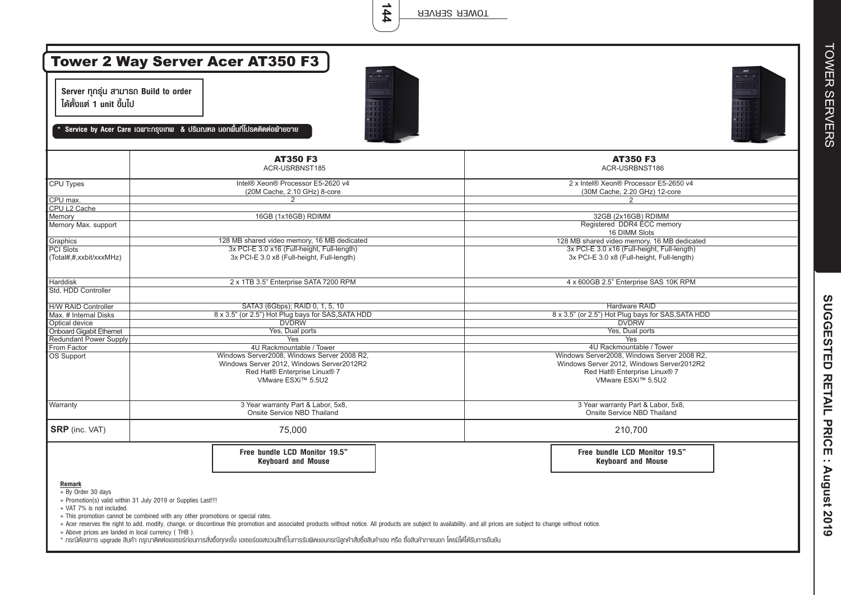**144**

| Server ทุกรุ่น สามารถ Build to order<br>ได้ตั้งแต่ 1 unit ขึ้นไป                                                                                                                                                                                                   |                                                                                                                                                                                                                        |                                                                                                                                                |  |  |
|--------------------------------------------------------------------------------------------------------------------------------------------------------------------------------------------------------------------------------------------------------------------|------------------------------------------------------------------------------------------------------------------------------------------------------------------------------------------------------------------------|------------------------------------------------------------------------------------------------------------------------------------------------|--|--|
|                                                                                                                                                                                                                                                                    | Service by Acer Care เฉพาะกรุงเทพ & ปริมณฑล นอกพื้นที่โปรดติดต่อฟ่ายขาย                                                                                                                                                |                                                                                                                                                |  |  |
|                                                                                                                                                                                                                                                                    | <b>AT350 F3</b><br>ACR-USRBNST185                                                                                                                                                                                      | <b>AT350 F3</b><br>ACR-USRBNST186                                                                                                              |  |  |
| CPU Types                                                                                                                                                                                                                                                          | Intel® Xeon® Processor E5-2620 v4<br>(20M Cache, 2.10 GHz) 8-core                                                                                                                                                      | 2 x Intel® Xeon® Processor E5-2650 v4<br>(30M Cache, 2.20 GHz) 12-core                                                                         |  |  |
| CPU max.                                                                                                                                                                                                                                                           | 2                                                                                                                                                                                                                      | 2                                                                                                                                              |  |  |
| CPU L2 Cache                                                                                                                                                                                                                                                       |                                                                                                                                                                                                                        |                                                                                                                                                |  |  |
| Memory<br>Memory Max. support                                                                                                                                                                                                                                      | 16GB (1x16GB) RDIMM                                                                                                                                                                                                    | 32GB (2x16GB) RDIMM<br>Registered DDR4 ECC memory<br>16 DIMM Slots                                                                             |  |  |
| Graphics                                                                                                                                                                                                                                                           | 128 MB shared video memory, 16 MB dedicated                                                                                                                                                                            | 128 MB shared video memory, 16 MB dedicated                                                                                                    |  |  |
| <b>PCI Slots</b><br>(Total#,#,xxbit/xxxMHz)                                                                                                                                                                                                                        | 3x PCI-E 3.0 x16 (Full-height, Full-length)<br>3x PCI-E 3.0 x8 (Full-height, Full-length)                                                                                                                              | 3x PCI-E 3.0 x16 (Full-height, Full-length)<br>3x PCI-E 3.0 x8 (Full-height, Full-length)                                                      |  |  |
| Harddisk<br>Std. HDD Controller                                                                                                                                                                                                                                    | 2 x 1TB 3.5" Enterprise SATA 7200 RPM                                                                                                                                                                                  | 4 x 600GB 2.5" Enterprise SAS 10K RPM                                                                                                          |  |  |
| <b>H/W RAID Controller</b>                                                                                                                                                                                                                                         | SATA3 (6Gbps); RAID 0, 1, 5, 10                                                                                                                                                                                        | <b>Hardware RAID</b>                                                                                                                           |  |  |
| Max. # Internal Disks                                                                                                                                                                                                                                              | 8 x 3.5" (or 2.5") Hot Plug bays for SAS, SATA HDD                                                                                                                                                                     | 8 x 3.5" (or 2.5") Hot Plug bays for SAS, SATA HDD                                                                                             |  |  |
| Optical device                                                                                                                                                                                                                                                     | <b>DVDRW</b>                                                                                                                                                                                                           | <b>DVDRW</b>                                                                                                                                   |  |  |
| <b>Onboard Gigabit Ethernet</b>                                                                                                                                                                                                                                    | Yes, Dual ports                                                                                                                                                                                                        | Yes, Dual ports                                                                                                                                |  |  |
| Redundant Power Supply                                                                                                                                                                                                                                             | Yes                                                                                                                                                                                                                    | Yes                                                                                                                                            |  |  |
| From Factor                                                                                                                                                                                                                                                        | 4U Rackmountable / Tower                                                                                                                                                                                               | 4U Rackmountable / Tower                                                                                                                       |  |  |
| OS Support                                                                                                                                                                                                                                                         | Windows Server2008, Windows Server 2008 R2,<br>Windows Server 2012, Windows Server2012R2<br>Red Hat® Enterprise Linux® 7<br>VMware ESXi™ 5.5U2                                                                         | Windows Server2008, Windows Server 2008 R2,<br>Windows Server 2012, Windows Server2012R2<br>Red Hat® Enterprise Linux® 7<br>VMware ESXi™ 5.5U2 |  |  |
| Warranty                                                                                                                                                                                                                                                           | 3 Year warranty Part & Labor, 5x8,<br>Onsite Service NBD Thailand                                                                                                                                                      | 3 Year warranty Part & Labor, 5x8,<br>Onsite Service NBD Thailand                                                                              |  |  |
| <b>SRP</b> (inc. VAT)                                                                                                                                                                                                                                              | 75,000                                                                                                                                                                                                                 | 210,700                                                                                                                                        |  |  |
|                                                                                                                                                                                                                                                                    | Free bundle LCD Monitor 19.5"<br><b>Keyboard and Mouse</b>                                                                                                                                                             | Free bundle LCD Monitor 19.5"<br><b>Keyboard and Mouse</b>                                                                                     |  |  |
| Remark<br>+ By Order 30 days<br>+ Promotion(s) valid within 31 July 2019 or Supplies Last!!!<br>+ VAT 7% is not included.<br>+ This promotion cannot be combined with any other promotions or special rates.<br>+ Above prices are landed in local currency (THB). | + Acer reserves the right to add, modify, change, or discontinue this promotion and associated products without notice. All products are subject to availability, and all prices are subject to change without notice. |                                                                                                                                                |  |  |

\* กรณีต้องการ upgrade สินค้า กรุณาติดต่อเอเซอร์ก่อนการสั่งซื้อทุกครั้ง เอเซอร์ขอสงวนสิทธิ์ในการรับผิดชอบกรณีลูกค้าสั่งซื้อสินค้ากายนอก โดยมิได้ได้รับการยืนยัน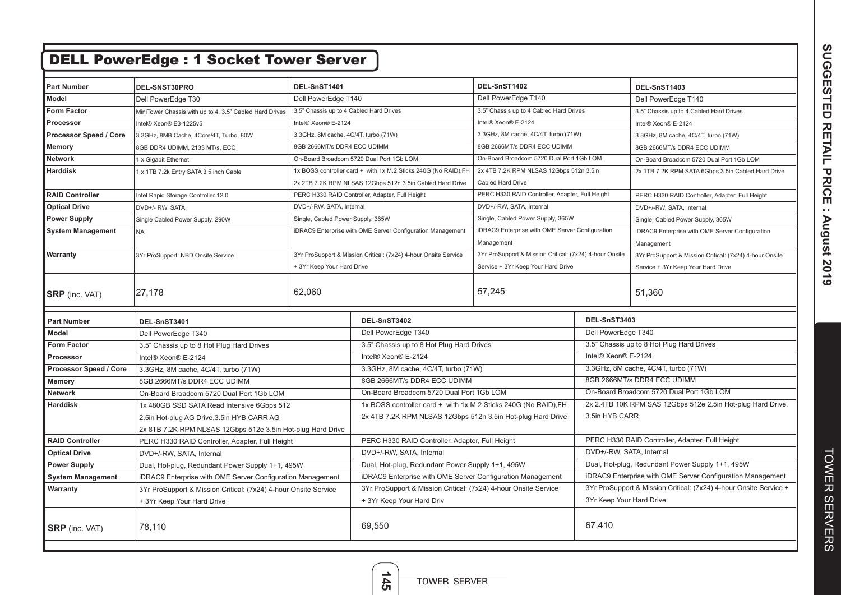|                               | <b>DELL PowerEdge: 1 Socket Tower Server</b>                    |                                         |                                                                 |                                                         |                                                                   |                                                             |
|-------------------------------|-----------------------------------------------------------------|-----------------------------------------|-----------------------------------------------------------------|---------------------------------------------------------|-------------------------------------------------------------------|-------------------------------------------------------------|
|                               |                                                                 |                                         |                                                                 |                                                         |                                                                   |                                                             |
| <b>Part Number</b>            | DEL-SNST30PRO                                                   | DEL-SnST1401                            |                                                                 | DEL-SnST1402                                            |                                                                   | DEL-SnST1403                                                |
| Model                         | Dell PowerEdge T30                                              | Dell PowerEdge T140                     |                                                                 | Dell PowerEdge T140                                     |                                                                   | Dell PowerEdge T140                                         |
| <b>Form Factor</b>            | MiniTower Chassis with up to 4, 3.5" Cabled Hard Drives         | 3.5" Chassis up to 4 Cabled Hard Drives |                                                                 | 3.5" Chassis up to 4 Cabled Hard Drives                 |                                                                   | 3.5" Chassis up to 4 Cabled Hard Drives                     |
| Processor                     | Intel® Xeon® E3-1225v5                                          | Intel® Xeon® E-2124                     |                                                                 | Intel® Xeon® E-2124                                     |                                                                   | Intel® Xeon® E-2124                                         |
| Processor Speed / Core        | 3.3GHz, 8MB Cache, 4Core/4T, Turbo, 80W                         | 3.3GHz, 8M cache, 4C/4T, turbo (71W)    |                                                                 | 3.3GHz, 8M cache, 4C/4T, turbo (71W)                    |                                                                   | 3.3GHz, 8M cache, 4C/4T, turbo (71W)                        |
| Memory                        | 8GB DDR4 UDIMM, 2133 MT/s, ECC                                  | 8GB 2666MT/s DDR4 ECC UDIMM             |                                                                 | 8GB 2666MT/s DDR4 ECC UDIMM                             |                                                                   | 8GB 2666MT/s DDR4 ECC UDIMM                                 |
| <b>Network</b>                | 1 x Gigabit Ethernet                                            |                                         | On-Board Broadcom 5720 Dual Port 1Gb LOM                        | On-Board Broadcom 5720 Dual Port 1Gb LOM                |                                                                   | On-Board Broadcom 5720 Dual Port 1Gb LOM                    |
| Harddisk                      | 1 x 1TB 7.2k Entry SATA 3.5 inch Cable                          |                                         | 1x BOSS controller card + with 1x M.2 Sticks 240G (No RAID), FH | 2x 4TB 7.2K RPM NLSAS 12Gbps 512n 3.5in                 |                                                                   | 2x 1TB 7.2K RPM SATA 6Gbps 3.5in Cabled Hard Drive          |
|                               |                                                                 |                                         | 2x 2TB 7.2K RPM NLSAS 12Gbps 512n 3.5in Cabled Hard Drive       | Cabled Hard Drive                                       |                                                                   |                                                             |
| <b>RAID Controller</b>        | Intel Rapid Storage Controller 12.0                             |                                         | PERC H330 RAID Controller, Adapter, Full Height                 | PERC H330 RAID Controller, Adapter, Full Height         |                                                                   | PERC H330 RAID Controller, Adapter, Full Height             |
| <b>Optical Drive</b>          | DVD+/- RW, SATA                                                 | DVD+/-RW, SATA, Internal                |                                                                 | DVD+/-RW, SATA, Internal                                |                                                                   | DVD+/-RW, SATA, Internal                                    |
| <b>Power Supply</b>           | Single Cabled Power Supply, 290W                                | Single, Cabled Power Supply, 365W       |                                                                 | Single, Cabled Power Supply, 365W                       |                                                                   | Single, Cabled Power Supply, 365W                           |
| <b>System Management</b>      | <b>NA</b>                                                       |                                         | iDRAC9 Enterprise with OME Server Configuration Management      | iDRAC9 Enterprise with OME Server Configuration         |                                                                   | iDRAC9 Enterprise with OME Server Configuration             |
|                               |                                                                 |                                         |                                                                 | Management                                              |                                                                   | Management                                                  |
| Warranty                      | 3Yr ProSupport: NBD Onsite Service                              |                                         | 3Yr ProSupport & Mission Critical: (7x24) 4-hour Onsite Service | 3Yr ProSupport & Mission Critical: (7x24) 4-hour Onsite |                                                                   | 3Yr ProSupport & Mission Critical: (7x24) 4-hour Onsite     |
|                               |                                                                 | + 3Yr Keep Your Hard Drive              |                                                                 | Service + 3Yr Keep Your Hard Drive                      |                                                                   | Service + 3Yr Keep Your Hard Drive                          |
| <b>SRP</b> (inc. VAT)         | 27,178                                                          | 62,060                                  |                                                                 | 57,245                                                  |                                                                   | 51,360                                                      |
| <b>Part Number</b>            | DEL-SnST3401                                                    |                                         | DEL-SnST3402                                                    |                                                         | DEL-SnST3403                                                      |                                                             |
| Model                         | Dell PowerEdge T340                                             |                                         | Dell PowerEdge T340                                             |                                                         | Dell PowerEdge T340                                               |                                                             |
| <b>Form Factor</b>            | 3.5" Chassis up to 8 Hot Plug Hard Drives                       |                                         | 3.5" Chassis up to 8 Hot Plug Hard Drives                       |                                                         |                                                                   | 3.5" Chassis up to 8 Hot Plug Hard Drives                   |
| Processor                     | Intel® Xeon® E-2124                                             |                                         | Intel® Xeon® E-2124                                             |                                                         | Intel® Xeon® E-2124                                               |                                                             |
| <b>Processor Speed / Core</b> | 3.3GHz, 8M cache, 4C/4T, turbo (71W)                            |                                         | 3.3GHz, 8M cache, 4C/4T, turbo (71W)                            |                                                         |                                                                   | 3.3GHz, 8M cache, 4C/4T, turbo (71W)                        |
| Memory                        | 8GB 2666MT/s DDR4 ECC UDIMM                                     |                                         | 8GB 2666MT/s DDR4 ECC UDIMM                                     |                                                         |                                                                   | 8GB 2666MT/s DDR4 ECC UDIMM                                 |
| <b>Network</b>                | On-Board Broadcom 5720 Dual Port 1Gb LOM                        |                                         | On-Board Broadcom 5720 Dual Port 1Gb LOM                        |                                                         |                                                                   | On-Board Broadcom 5720 Dual Port 1Gb LOM                    |
| <b>Harddisk</b>               | 1x 480GB SSD SATA Read Intensive 6Gbps 512                      |                                         | 1x BOSS controller card + with 1x M.2 Sticks 240G (No RAID), FH |                                                         |                                                                   | 2x 2.4TB 10K RPM SAS 12Gbps 512e 2.5in Hot-plug Hard Drive, |
|                               | 2.5in Hot-plug AG Drive, 3.5in HYB CARR AG                      |                                         | 2x 4TB 7.2K RPM NLSAS 12Gbps 512n 3.5in Hot-plug Hard Drive     |                                                         | 3.5in HYB CARR                                                    |                                                             |
|                               | 2x 8TB 7.2K RPM NLSAS 12Gbps 512e 3.5in Hot-plug Hard Drive     |                                         |                                                                 |                                                         |                                                                   |                                                             |
| <b>RAID Controller</b>        | PERC H330 RAID Controller, Adapter, Full Height                 |                                         | PERC H330 RAID Controller, Adapter, Full Height                 |                                                         |                                                                   | PERC H330 RAID Controller, Adapter, Full Height             |
| <b>Optical Drive</b>          | DVD+/-RW, SATA, Internal                                        |                                         | DVD+/-RW, SATA, Internal                                        |                                                         | DVD+/-RW, SATA, Internal                                          |                                                             |
| <b>Power Supply</b>           | Dual, Hot-plug, Redundant Power Supply 1+1, 495W                |                                         | Dual, Hot-plug, Redundant Power Supply 1+1, 495W                |                                                         | Dual, Hot-plug, Redundant Power Supply 1+1, 495W                  |                                                             |
| <b>System Management</b>      | iDRAC9 Enterprise with OME Server Configuration Management      |                                         | iDRAC9 Enterprise with OME Server Configuration Management      |                                                         | iDRAC9 Enterprise with OME Server Configuration Management        |                                                             |
| Warranty                      | 3Yr ProSupport & Mission Critical: (7x24) 4-hour Onsite Service |                                         | 3Yr ProSupport & Mission Critical: (7x24) 4-hour Onsite Service |                                                         | 3Yr ProSupport & Mission Critical: (7x24) 4-hour Onsite Service + |                                                             |
|                               | + 3Yr Keep Your Hard Drive                                      |                                         | + 3Yr Keep Your Hard Driv                                       |                                                         | 3Yr Keep Your Hard Drive                                          |                                                             |
| <b>SRP</b> (inc. VAT)         | 78,110                                                          |                                         | 69,550                                                          |                                                         | 67,410                                                            |                                                             |

SUGGESTED RETAIL PRICE : August 2019 **SUGGESTED RETAIL PRICE : August 2019**

**145**

TOWER SERVER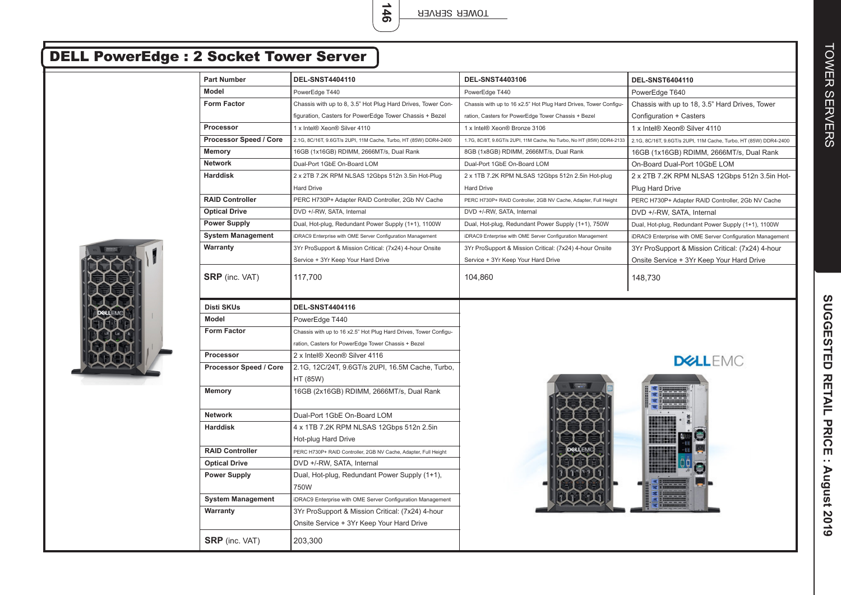| <b>Part Number</b>       | <b>DEL-SNST4404110</b>                                                                 | <b>DEL-SNST4403106</b>                                                | <b>DEL-SNST6404110</b>                                           |
|--------------------------|----------------------------------------------------------------------------------------|-----------------------------------------------------------------------|------------------------------------------------------------------|
| <b>Model</b>             | PowerEdge T440                                                                         | PowerEdge T440                                                        | PowerEdge T640                                                   |
| Form Factor              | Chassis with up to 8, 3.5" Hot Plug Hard Drives, Tower Con-                            | Chassis with up to 16 x2.5" Hot Plug Hard Drives, Tower Configu-      | Chassis with up to 18, 3.5" Hard Drives, Tower                   |
|                          | figuration, Casters for PowerEdge Tower Chassis + Bezel                                | ration, Casters for PowerEdge Tower Chassis + Bezel                   | Configuration + Casters                                          |
| Processor                | 1 x Intel® Xeon® Silver 4110                                                           | 1 x Intel® Xeon® Bronze 3106                                          | 1 x Intel® Xeon® Silver 4110                                     |
| Processor Speed / Core   | 2.1G, 8C/16T, 9.6GT/s 2UPI, 11M Cache, Turbo, HT (85W) DDR4-2400                       | 1.7G, 8C/8T, 9.6GT/s 2UPI, 11M Cache, No Turbo, No HT (85W) DDR4-2133 | 2.1G, 8C/16T, 9.6GT/s 2UPI, 11M Cache, Turbo, HT (85W) DDR4-2400 |
| <b>Memory</b>            | 16GB (1x16GB) RDIMM, 2666MT/s, Dual Rank                                               | 8GB (1x8GB) RDIMM, 2666MT/s, Dual Rank                                | 16GB (1x16GB) RDIMM, 2666MT/s, Dual Rank                         |
| <b>Network</b>           | Dual-Port 1GbE On-Board LOM                                                            | Dual-Port 1GbE On-Board LOM                                           | On-Board Dual-Port 10GbE LOM                                     |
| <b>Harddisk</b>          | 2 x 2TB 7.2K RPM NLSAS 12Gbps 512n 3.5in Hot-Plug                                      | 2 x 1TB 7.2K RPM NLSAS 12Gbps 512n 2.5in Hot-plug                     | 2 x 2TB 7.2K RPM NLSAS 12Gbps 512n 3.5in Hot-                    |
|                          | <b>Hard Drive</b>                                                                      | <b>Hard Drive</b>                                                     | <b>Plug Hard Drive</b>                                           |
| <b>RAID Controller</b>   | PERC H730P+ Adapter RAID Controller, 2Gb NV Cache                                      | PERC H730P+ RAID Controller, 2GB NV Cache, Adapter, Full Height       | PERC H730P+ Adapter RAID Controller, 2Gb NV Cache                |
| <b>Optical Drive</b>     | DVD +/-RW, SATA, Internal                                                              | DVD +/-RW, SATA, Internal                                             | DVD +/-RW, SATA, Internal                                        |
| <b>Power Supply</b>      | Dual, Hot-plug, Redundant Power Supply (1+1), 1100W                                    | Dual, Hot-plug, Redundant Power Supply (1+1), 750W                    | Dual, Hot-plug, Redundant Power Supply (1+1), 1100W              |
| <b>System Management</b> | iDRAC9 Enterprise with OME Server Configuration Management                             | iDRAC9 Enterprise with OME Server Configuration Management            | iDRAC9 Enterprise with OME Server Configuration Management       |
| Warranty                 | 3Yr ProSupport & Mission Critical: (7x24) 4-hour Onsite                                | 3Yr ProSupport & Mission Critical: (7x24) 4-hour Onsite               | 3Yr ProSupport & Mission Critical: (7x24) 4-hour                 |
|                          | Service + 3Yr Keep Your Hard Drive                                                     | Service + 3Yr Keep Your Hard Drive                                    | Onsite Service + 3Yr Keep Your Hard Drive                        |
| <b>SRP</b> (inc. VAT)    | 117,700                                                                                | 104,860                                                               | 148,730                                                          |
| Disti SKUs               | <b>DEL-SNST4404116</b>                                                                 |                                                                       |                                                                  |
| <b>Model</b>             | PowerEdge T440                                                                         |                                                                       |                                                                  |
|                          |                                                                                        |                                                                       |                                                                  |
| <b>Form Factor</b>       | Chassis with up to 16 x2.5" Hot Plug Hard Drives, Tower Configu-                       |                                                                       |                                                                  |
|                          | ration, Casters for PowerEdge Tower Chassis + Bezel                                    |                                                                       |                                                                  |
| Processor                | 2 x Intel® Xeon® Silver 4116                                                           |                                                                       |                                                                  |
| Processor Speed / Core   | 2.1G, 12C/24T, 9.6GT/s 2UPI, 16.5M Cache, Turbo,                                       |                                                                       | <b>DELLEMC</b>                                                   |
|                          | HT (85W)                                                                               |                                                                       |                                                                  |
| <b>Memory</b>            | 16GB (2x16GB) RDIMM, 2666MT/s, Dual Rank                                               |                                                                       |                                                                  |
| <b>Network</b>           | Dual-Port 1GbE On-Board LOM                                                            |                                                                       |                                                                  |
| <b>Harddisk</b>          | 4 x 1TB 7.2K RPM NLSAS 12Gbps 512n 2.5in                                               |                                                                       |                                                                  |
|                          |                                                                                        |                                                                       |                                                                  |
| <b>RAID Controller</b>   | Hot-plug Hard Drive<br>PERC H730P+ RAID Controller, 2GB NV Cache, Adapter, Full Height |                                                                       |                                                                  |
| <b>Optical Drive</b>     | DVD +/-RW, SATA, Internal                                                              |                                                                       |                                                                  |
| <b>Power Supply</b>      | Dual, Hot-plug, Redundant Power Supply (1+1),<br>750W                                  |                                                                       |                                                                  |
| <b>System Management</b> | iDRAC9 Enterprise with OME Server Configuration Management                             |                                                                       |                                                                  |
| Warranty                 | 3Yr ProSupport & Mission Critical: (7x24) 4-hour                                       |                                                                       |                                                                  |
|                          | Onsite Service + 3Yr Keep Your Hard Drive                                              |                                                                       |                                                                  |
| <b>SRP</b> (inc. VAT)    | 203,300                                                                                |                                                                       |                                                                  |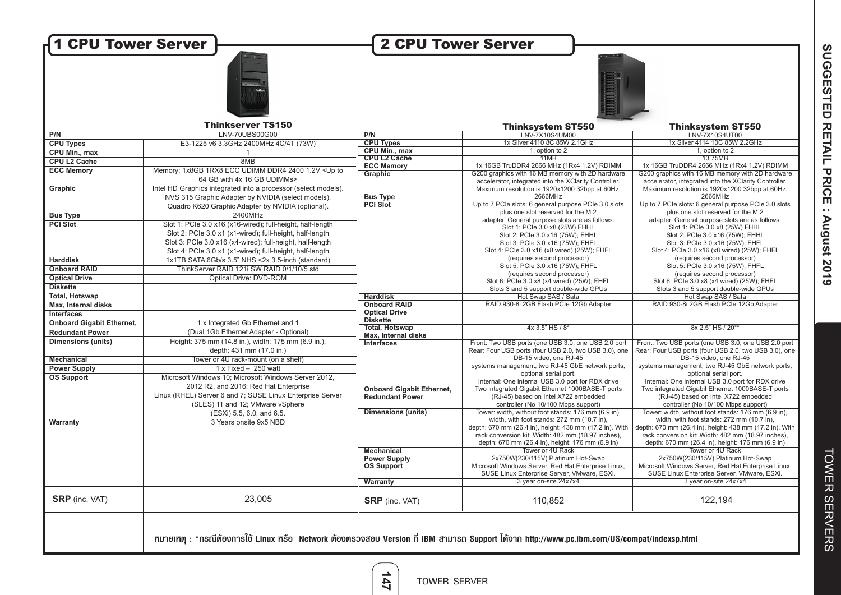| <b>H1 CPU Tower Server</b>       |                                                                                                                                              | <b>2 CPU Tower Server</b>        |                                                                                                           |                                                                                                           |
|----------------------------------|----------------------------------------------------------------------------------------------------------------------------------------------|----------------------------------|-----------------------------------------------------------------------------------------------------------|-----------------------------------------------------------------------------------------------------------|
|                                  |                                                                                                                                              |                                  |                                                                                                           |                                                                                                           |
|                                  |                                                                                                                                              |                                  |                                                                                                           |                                                                                                           |
| P/N                              | <b>Thinkserver TS150</b><br>LNV-70UBS00G00                                                                                                   | P/N                              | <b>Thinksystem ST550</b><br>LNV-7X10S4UM00                                                                | <b>Thinksystem ST550</b><br>LNV-7X10S4UT00                                                                |
| <b>CPU Types</b>                 | E3-1225 v6 3.3GHz 2400MHz 4C/4T (73W)                                                                                                        | <b>CPU Types</b>                 | 1x Silver 4110 8C 85W 2.1GHz                                                                              | 1x Silver 4114 10C 85W 2.2GHz                                                                             |
| CPU Min., max                    | $\overline{1}$                                                                                                                               | CPU Min., max                    | 1, option to 2                                                                                            | 1, option to 2                                                                                            |
| <b>CPU L2 Cache</b>              | 8MB                                                                                                                                          | <b>CPU L2 Cache</b>              | 11MB                                                                                                      | 13.75MB                                                                                                   |
|                                  |                                                                                                                                              | <b>ECC Memory</b>                | 1x 16GB TruDDR4 2666 MHz (1Rx4 1.2V) RDIMM                                                                | 1x 16GB TruDDR4 2666 MHz (1Rx4 1.2V) RDIMM                                                                |
| <b>ECC Memory</b>                | Memory: 1x8GB 1RX8 ECC UDIMM DDR4 2400 1.2V < Up to<br>64 GB with 4x 16 GB UDIMMs>                                                           | Graphic                          | G200 graphics with 16 MB memory with 2D hardware<br>accelerator, integrated into the XClarity Controller. | G200 graphics with 16 MB memory with 2D hardware<br>accelerator, integrated into the XClarity Controller. |
| Graphic                          | Intel HD Graphics integrated into a processor (select models).                                                                               |                                  | Maximum resolution is 1920x1200 32bpp at 60Hz.                                                            | Maximum resolution is 1920x1200 32bpp at 60Hz.                                                            |
|                                  | NVS 315 Graphic Adapter by NVIDIA (select models).                                                                                           | <b>Bus Type</b>                  | 2666MHz                                                                                                   | 2666MHz                                                                                                   |
|                                  | Quadro K620 Graphic Adapter by NVIDIA (optional).                                                                                            | <b>PCI Slot</b>                  | Up to 7 PCIe slots: 6 general purpose PCIe 3.0 slots                                                      | Up to 7 PCIe slots: 6 general purpose PCIe 3.0 slots                                                      |
| <b>Bus Type</b>                  | 2400MHz                                                                                                                                      |                                  | plus one slot reserved for the M.2                                                                        | plus one slot reserved for the M.2                                                                        |
| <b>PCI Slot</b>                  |                                                                                                                                              |                                  | adapter. General purpose slots are as follows:                                                            | adapter. General purpose slots are as follows:                                                            |
|                                  | Slot 1: PCIe 3.0 x16 (x16-wired); full-height, half-length                                                                                   |                                  | Slot 1: PCle 3.0 x8 (25W) FHHL                                                                            | Slot 1: PCle 3.0 x8 (25W) FHHL                                                                            |
|                                  | Slot 2: PCle 3.0 x1 (x1-wired); full-height, half-length                                                                                     |                                  | Slot 2: PCle 3.0 x16 (75W); FHHL                                                                          | Slot 2: PCle 3.0 x16 (75W); FHHL                                                                          |
|                                  | Slot 3: PCle 3.0 x16 (x4-wired); full-height, half-length                                                                                    |                                  | Slot 3: PCle 3.0 x16 (75W); FHFL                                                                          | Slot 3: PCle 3.0 x16 (75W); FHFL                                                                          |
|                                  | Slot 4: PCle 3.0 x1 (x1-wired); full-height, half-length                                                                                     |                                  | Slot 4: PCle 3.0 x16 (x8 wired) (25W); FHFL                                                               | Slot 4: PCle 3.0 x16 (x8 wired) (25W); FHFL                                                               |
| <b>Harddisk</b>                  | 1x1TB SATA 6Gb/s 3.5" NHS <2x 3.5-inch (standard)                                                                                            |                                  | (requires second processor)                                                                               | (requires second processor)                                                                               |
| <b>Onboard RAID</b>              | ThinkServer RAID 121i SW RAID 0/1/10/5 std                                                                                                   |                                  | Slot 5: PCle 3.0 x16 (75W); FHFL                                                                          | Slot 5: PCIe 3.0 x16 (75W); FHFL                                                                          |
| <b>Optical Drive</b>             | Optical Drive: DVD-ROM                                                                                                                       |                                  | (requires second processor)                                                                               | (requires second processor)                                                                               |
| <b>Diskette</b>                  |                                                                                                                                              |                                  | Slot 6: PCle 3.0 x8 (x4 wired) (25W); FHFL                                                                | Slot 6: PCle 3.0 x8 (x4 wired) (25W); FHFL<br>Slots 3 and 5 support double-wide GPUs                      |
| <b>Total, Hotswap</b>            |                                                                                                                                              | <b>Harddisk</b>                  | Slots 3 and 5 support double-wide GPUs<br>Hot Swap SAS / Sata                                             | Hot Swap SAS / Sata                                                                                       |
| Max, Internal disks              |                                                                                                                                              | <b>Onboard RAID</b>              | RAID 930-8i 2GB Flash PCIe 12Gb Adapter                                                                   | RAID 930-8i 2GB Flash PCIe 12Gb Adapter                                                                   |
|                                  |                                                                                                                                              | <b>Optical Drive</b>             |                                                                                                           |                                                                                                           |
| Interfaces                       |                                                                                                                                              | <b>Diskette</b>                  |                                                                                                           |                                                                                                           |
| <b>Onboard Gigabit Ethernet,</b> | 1 x Integrated Gb Ethernet and 1                                                                                                             | <b>Total, Hotswap</b>            | 4x 3.5" HS / 8*                                                                                           | 8x 2.5" HS / 20**                                                                                         |
| <b>Redundant Power</b>           | (Dual 1Gb Ethernet Adapter - Optional)                                                                                                       | <b>Max, Internal disks</b>       |                                                                                                           |                                                                                                           |
| <b>Dimensions (units)</b>        | Height: 375 mm (14.8 in.), width: 175 mm (6.9 in.),                                                                                          | Interfaces                       | Front: Two USB ports (one USB 3.0, one USB 2.0 port                                                       | Front: Two USB ports (one USB 3.0, one USB 2.0 port                                                       |
|                                  | depth: 431 mm (17.0 in.)                                                                                                                     |                                  | Rear: Four USB ports (four USB 2.0, two USB 3.0), one                                                     | Rear: Four USB ports (four USB 2.0, two USB 3.0), one                                                     |
| <b>Mechanical</b>                | Tower or 4U rack-mount (on a shelf)                                                                                                          |                                  | DB-15 video, one RJ-45<br>systems management, two RJ-45 GbE network ports,                                | DB-15 video, one RJ-45<br>systems management, two RJ-45 GbE network ports,                                |
| <b>Power Supply</b>              | $1 \times$ Fixed - 250 watt                                                                                                                  |                                  | optional serial port.                                                                                     | optional serial port.                                                                                     |
| <b>OS Support</b>                | Microsoft Windows 10; Microsoft Windows Server 2012,                                                                                         |                                  | Internal: One internal USB 3.0 port for RDX drive                                                         | Internal: One internal USB 3.0 port for RDX drive                                                         |
|                                  | 2012 R2, and 2016; Red Hat Enterprise                                                                                                        | <b>Onboard Gigabit Ethernet,</b> | Two integrated Gigabit Ethernet 1000BASE-T ports                                                          | Two integrated Gigabit Ethernet 1000BASE-T ports                                                          |
|                                  | Linux (RHEL) Server 6 and 7; SUSE Linux Enterprise Server                                                                                    | <b>Redundant Power</b>           | (RJ-45) based on Intel X722 embedded                                                                      | (RJ-45) based on Intel X722 embedded                                                                      |
|                                  | (SLES) 11 and 12; VMware vSphere                                                                                                             |                                  | controller (No 10/100 Mbps support)                                                                       | controller (No 10/100 Mbps support)                                                                       |
|                                  | (ESXi) 5.5, 6.0, and 6.5.                                                                                                                    | <b>Dimensions (units)</b>        | Tower: width, without foot stands: 176 mm (6.9 in),                                                       | Tower: width, without foot stands: 176 mm (6.9 in),                                                       |
| <b>Warranty</b>                  | 3 Years onsite 9x5 NBD                                                                                                                       |                                  | width, with foot stands: 272 mm (10.7 in),                                                                | width, with foot stands: 272 mm (10.7 in),                                                                |
|                                  |                                                                                                                                              |                                  | depth: 670 mm (26.4 in), height: 438 mm (17.2 in). With                                                   | depth: 670 mm (26.4 in), height: 438 mm (17.2 in). With                                                   |
|                                  |                                                                                                                                              |                                  | rack conversion kit: Width: 482 mm (18.97 inches),                                                        | rack conversion kit: Width: 482 mm (18.97 inches),                                                        |
|                                  |                                                                                                                                              |                                  | depth: 670 mm (26.4 in), height: 176 mm (6.9 in)                                                          | depth: 670 mm (26.4 in), height: 176 mm (6.9 in)                                                          |
|                                  |                                                                                                                                              | <b>Mechanical</b>                | Tower or 4U Rack                                                                                          | Tower or 4U Rack                                                                                          |
|                                  |                                                                                                                                              | <b>Power Supply</b>              | 2x750W(230/115V) Platinum Hot-Swap                                                                        | 2x750W(230/115V) Platinum Hot-Swap                                                                        |
|                                  |                                                                                                                                              | <b>OS Support</b>                | Microsoft Windows Server, Red Hat Enterprise Linux,                                                       | Microsoft Windows Server, Red Hat Enterprise Linux,                                                       |
|                                  |                                                                                                                                              |                                  | SUSE Linux Enterprise Server, VMware, ESXi.<br>3 year on-site 24x7x4                                      | SUSE Linux Enterprise Server, VMware, ESXi.<br>3 year on-site 24x7x4                                      |
|                                  |                                                                                                                                              | <b>Warranty</b>                  |                                                                                                           |                                                                                                           |
| <b>SRP</b> (inc. VAT)            | 23,005                                                                                                                                       | <b>SRP</b> (inc. VAT)            | 110,852                                                                                                   | 122,194                                                                                                   |
|                                  | rมายเทตุ : *กรณีต้องการใช้ Linux หรือ Network ต้องตรวจสอบ Version ที่ IBM สามารถ Support ได้จาก http://www.pc.ibm.com/US/compat/indexsp.html |                                  |                                                                                                           |                                                                                                           |

**147**

TOWER SERVER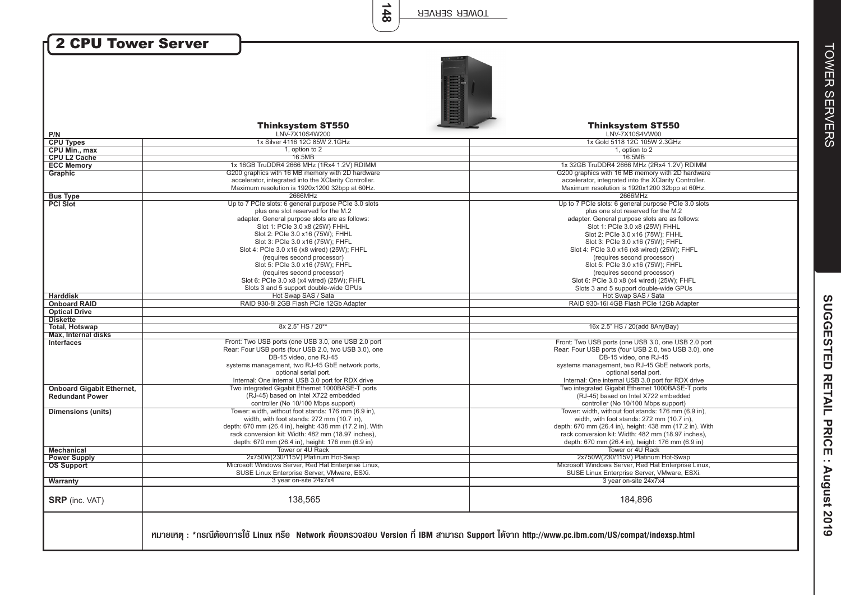| <b>2 CPU Tower Server</b>         |                                                                                                                                                                                                                   |                                                                                                                                                                                                                   |
|-----------------------------------|-------------------------------------------------------------------------------------------------------------------------------------------------------------------------------------------------------------------|-------------------------------------------------------------------------------------------------------------------------------------------------------------------------------------------------------------------|
| P/N                               | <b>Thinksystem ST550</b><br>LNV-7X10S4W200                                                                                                                                                                        | <b>Thinksystem ST550</b><br>LNV-7X10S4VW00                                                                                                                                                                        |
| <b>CPU Types</b>                  | 1x Silver 4116 12C 85W 2.1GHz                                                                                                                                                                                     | 1x Gold 5118 12C 105W 2.3GHz                                                                                                                                                                                      |
| CPU Min., max                     | 1, option to 2                                                                                                                                                                                                    | 1, option to 2                                                                                                                                                                                                    |
| <b>CPU L2 Cache</b>               | 16.5MB                                                                                                                                                                                                            | 16.5MB                                                                                                                                                                                                            |
| <b>ECC Memory</b>                 | 1x 16GB TruDDR4 2666 MHz (1Rx4 1.2V) RDIMM                                                                                                                                                                        | 1x 32GB TruDDR4 2666 MHz (2Rx4 1.2V) RDIMM                                                                                                                                                                        |
| Graphic                           | G200 graphics with 16 MB memory with 2D hardware                                                                                                                                                                  | G200 graphics with 16 MB memory with 2D hardware                                                                                                                                                                  |
|                                   | accelerator, integrated into the XClarity Controller.                                                                                                                                                             | accelerator, integrated into the XClarity Controller.                                                                                                                                                             |
|                                   | Maximum resolution is 1920x1200 32bpp at 60Hz.                                                                                                                                                                    | Maximum resolution is 1920x1200 32bpp at 60Hz.                                                                                                                                                                    |
| <b>Bus Type</b>                   | 2666MHz                                                                                                                                                                                                           | 2666MHz                                                                                                                                                                                                           |
| <b>PCI Slot</b>                   | Up to 7 PCIe slots: 6 general purpose PCIe 3.0 slots                                                                                                                                                              | Up to 7 PCIe slots: 6 general purpose PCIe 3.0 slots                                                                                                                                                              |
|                                   | plus one slot reserved for the M.2                                                                                                                                                                                | plus one slot reserved for the M.2                                                                                                                                                                                |
|                                   | adapter. General purpose slots are as follows:                                                                                                                                                                    | adapter. General purpose slots are as follows:                                                                                                                                                                    |
|                                   | Slot 1: PCle 3.0 x8 (25W) FHHL<br>Slot 2: PCle 3.0 x16 (75W); FHHL                                                                                                                                                | Slot 1: PCle 3.0 x8 (25W) FHHL<br>Slot 2: PCle 3.0 x16 (75W); FHHL                                                                                                                                                |
|                                   | Slot 3: PCle 3.0 x16 (75W); FHFL                                                                                                                                                                                  | Slot 3: PCle 3.0 x16 (75W); FHFL                                                                                                                                                                                  |
|                                   | Slot 4: PCle 3.0 x16 (x8 wired) (25W); FHFL                                                                                                                                                                       | Slot 4: PCle 3.0 x16 (x8 wired) (25W); FHFL                                                                                                                                                                       |
|                                   | (requires second processor)                                                                                                                                                                                       | (requires second processor)                                                                                                                                                                                       |
|                                   | Slot 5: PCle 3.0 x16 (75W); FHFL                                                                                                                                                                                  | Slot 5: PCle 3.0 x16 (75W); FHFL                                                                                                                                                                                  |
|                                   | (requires second processor)                                                                                                                                                                                       | (requires second processor)                                                                                                                                                                                       |
|                                   | Slot 6: PCle 3.0 x8 (x4 wired) (25W); FHFL                                                                                                                                                                        | Slot 6: PCle 3.0 x8 (x4 wired) (25W); FHFL                                                                                                                                                                        |
|                                   | Slots 3 and 5 support double-wide GPUs                                                                                                                                                                            | Slots 3 and 5 support double-wide GPUs                                                                                                                                                                            |
| <b>Harddisk</b>                   | Hot Swap SAS / Sata                                                                                                                                                                                               | Hot Swap SAS / Sata                                                                                                                                                                                               |
| <b>Onboard RAID</b>               | RAID 930-8i 2GB Flash PCIe 12Gb Adapter                                                                                                                                                                           | RAID 930-16i 4GB Flash PCIe 12Gb Adapter                                                                                                                                                                          |
| <b>Optical Drive</b>              |                                                                                                                                                                                                                   |                                                                                                                                                                                                                   |
| <b>Diskette</b>                   | 8x 2.5" HS / 20**                                                                                                                                                                                                 |                                                                                                                                                                                                                   |
| <b>Total, Hotswap</b>             |                                                                                                                                                                                                                   | 16x 2.5" HS / 20(add 8AnyBay)                                                                                                                                                                                     |
| Max, Internal disks<br>Interfaces | Front: Two USB ports (one USB 3.0, one USB 2.0 port                                                                                                                                                               | Front: Two USB ports (one USB 3.0, one USB 2.0 port                                                                                                                                                               |
|                                   | Rear: Four USB ports (four USB 2.0, two USB 3.0), one<br>DB-15 video, one RJ-45<br>systems management, two RJ-45 GbE network ports,<br>optional serial port.<br>Internal: One internal USB 3.0 port for RDX drive | Rear: Four USB ports (four USB 2.0, two USB 3.0), one<br>DB-15 video, one RJ-45<br>systems management, two RJ-45 GbE network ports,<br>optional serial port.<br>Internal: One internal USB 3.0 port for RDX drive |
| <b>Onboard Gigabit Ethernet,</b>  | Two integrated Gigabit Ethernet 1000BASE-T ports                                                                                                                                                                  | Two integrated Gigabit Ethernet 1000BASE-T ports                                                                                                                                                                  |
| <b>Redundant Power</b>            | (RJ-45) based on Intel X722 embedded                                                                                                                                                                              | (RJ-45) based on Intel X722 embedded                                                                                                                                                                              |
|                                   | controller (No 10/100 Mbps support)                                                                                                                                                                               | controller (No 10/100 Mbps support)                                                                                                                                                                               |
| <b>Dimensions (units)</b>         | Tower: width, without foot stands: 176 mm (6.9 in),                                                                                                                                                               | Tower: width, without foot stands: 176 mm (6.9 in),                                                                                                                                                               |
|                                   | width, with foot stands: 272 mm (10.7 in),                                                                                                                                                                        | width, with foot stands: 272 mm (10.7 in),                                                                                                                                                                        |
|                                   | depth: 670 mm (26.4 in), height: 438 mm (17.2 in). With                                                                                                                                                           | depth: 670 mm (26.4 in), height: 438 mm (17.2 in). With                                                                                                                                                           |
|                                   | rack conversion kit: Width: 482 mm (18.97 inches),                                                                                                                                                                | rack conversion kit: Width: 482 mm (18.97 inches),                                                                                                                                                                |
|                                   | depth: 670 mm (26.4 in), height: 176 mm (6.9 in)<br>Tower or 4U Rack                                                                                                                                              | depth: 670 mm (26.4 in), height: 176 mm (6.9 in)<br>Tower or 4U Rack                                                                                                                                              |
| <b>Mechanical</b>                 | 2x750W(230/115V) Platinum Hot-Swap                                                                                                                                                                                | 2x750W(230/115V) Platinum Hot-Swap                                                                                                                                                                                |
| <b>Power Supply</b>               | Microsoft Windows Server, Red Hat Enterprise Linux,                                                                                                                                                               | Microsoft Windows Server, Red Hat Enterprise Linux,                                                                                                                                                               |
| <b>OS Support</b>                 | SUSE Linux Enterprise Server, VMware, ESXi.                                                                                                                                                                       | SUSE Linux Enterprise Server, VMware, ESXi.                                                                                                                                                                       |
| Warranty                          | 3 year on-site 24x7x4                                                                                                                                                                                             | 3 year on-site 24x7x4                                                                                                                                                                                             |
| <b>SRP</b> (inc. VAT)             | 138,565                                                                                                                                                                                                           | 184,896                                                                                                                                                                                                           |
|                                   | rมายเทต : *กรณีต้องการใช้ Linux หรือ Network ต้องตรวจสอบ Version ที่ IBM สามารถ Support ได้จาก http://www.pc.ibm.com/US/compat/indexsp.html                                                                       |                                                                                                                                                                                                                   |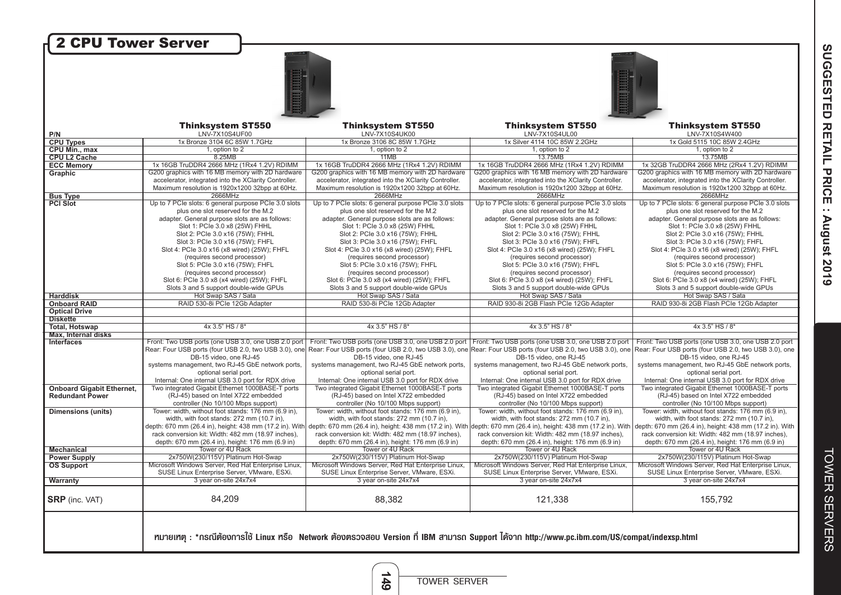| 2 CPU Tower Server                       |                                                                                                   |                                                                                                                                              |                                                                                                                 |                                                                                                                                                                                                                                                          |
|------------------------------------------|---------------------------------------------------------------------------------------------------|----------------------------------------------------------------------------------------------------------------------------------------------|-----------------------------------------------------------------------------------------------------------------|----------------------------------------------------------------------------------------------------------------------------------------------------------------------------------------------------------------------------------------------------------|
|                                          |                                                                                                   |                                                                                                                                              |                                                                                                                 |                                                                                                                                                                                                                                                          |
|                                          |                                                                                                   |                                                                                                                                              |                                                                                                                 |                                                                                                                                                                                                                                                          |
|                                          |                                                                                                   |                                                                                                                                              |                                                                                                                 |                                                                                                                                                                                                                                                          |
|                                          | <b>Thinksystem ST550</b>                                                                          | <b>Thinksystem ST550</b>                                                                                                                     | <b>Thinksystem ST550</b>                                                                                        | <b>Thinksystem ST550</b>                                                                                                                                                                                                                                 |
| P/N                                      | LNV-7X10S4UF00                                                                                    | LNV-7X10S4UK00                                                                                                                               | LNV-7X10S4UL00<br>1x Silver 4114 10C 85W 2.2GHz                                                                 | LNV-7X10S4W400<br>1x Gold 5115 10C 85W 2.4GHz                                                                                                                                                                                                            |
| <b>CPU Types</b><br><b>CPU Min., max</b> | 1x Bronze 3104 6C 85W 1.7GHz<br>1, option to 2                                                    | 1x Bronze 3106 8C 85W 1.7GHz<br>1, option to 2                                                                                               | 1, option to 2                                                                                                  | 1, option to 2                                                                                                                                                                                                                                           |
| <b>CPU L2 Cache</b>                      | 8.25MB                                                                                            | 11MB                                                                                                                                         | 13.75MB                                                                                                         | 13.75MB                                                                                                                                                                                                                                                  |
| <b>ECC Memory</b>                        | 1x 16GB TruDDR4 2666 MHz (1Rx4 1.2V) RDIMM                                                        | 1x 16GB TruDDR4 2666 MHz (1Rx4 1.2V) RDIMM                                                                                                   | 1x 16GB TruDDR4 2666 MHz (1Rx4 1.2V) RDIMM                                                                      | 1x 32GB TruDDR4 2666 MHz (2Rx4 1.2V) RDIMM                                                                                                                                                                                                               |
| Graphic                                  | G200 graphics with 16 MB memory with 2D hardware                                                  | G200 graphics with 16 MB memory with 2D hardware                                                                                             | G200 graphics with 16 MB memory with 2D hardware                                                                | G200 graphics with 16 MB memory with 2D hardware                                                                                                                                                                                                         |
|                                          | accelerator, integrated into the XClarity Controller.                                             | accelerator, integrated into the XClarity Controller.                                                                                        | accelerator, integrated into the XClarity Controller.                                                           | accelerator, integrated into the XClarity Controller.                                                                                                                                                                                                    |
|                                          | Maximum resolution is 1920x1200 32bpp at 60Hz.                                                    | Maximum resolution is 1920x1200 32bpp at 60Hz.                                                                                               | Maximum resolution is 1920x1200 32bpp at 60Hz.                                                                  | Maximum resolution is 1920x1200 32bpp at 60Hz.                                                                                                                                                                                                           |
| <b>Bus Type</b>                          | 2666MHz                                                                                           | 2666MHz                                                                                                                                      | 2666MHz                                                                                                         | 2666MHz                                                                                                                                                                                                                                                  |
| <b>PCI Slot</b>                          | Up to 7 PCIe slots: 6 general purpose PCIe 3.0 slots                                              | Up to 7 PCIe slots: 6 general purpose PCIe 3.0 slots                                                                                         | Up to 7 PCIe slots: 6 general purpose PCIe 3.0 slots                                                            | Up to 7 PCIe slots: 6 general purpose PCIe 3.0 slots                                                                                                                                                                                                     |
|                                          | plus one slot reserved for the M.2                                                                | plus one slot reserved for the M.2                                                                                                           | plus one slot reserved for the M.2                                                                              | plus one slot reserved for the M.2                                                                                                                                                                                                                       |
|                                          | adapter. General purpose slots are as follows:                                                    | adapter. General purpose slots are as follows:                                                                                               | adapter. General purpose slots are as follows:                                                                  | adapter. General purpose slots are as follows:                                                                                                                                                                                                           |
|                                          | Slot 1: PCle 3.0 x8 (25W) FHHL                                                                    | Slot 1: PCle 3.0 x8 (25W) FHHL                                                                                                               | Slot 1: PCle 3.0 x8 (25W) FHHL                                                                                  | Slot 1: PCle 3.0 x8 (25W) FHHL                                                                                                                                                                                                                           |
|                                          | Slot 2: PCle 3.0 x16 (75W); FHHL                                                                  | Slot 2: PCle 3.0 x16 (75W); FHHL                                                                                                             | Slot 2: PCle 3.0 x16 (75W); FHHL                                                                                | Slot 2: PCle 3.0 x16 (75W); FHHL                                                                                                                                                                                                                         |
|                                          | Slot 3: PCle 3.0 x16 (75W); FHFL                                                                  | Slot 3: PCle 3.0 x16 (75W); FHFL                                                                                                             | Slot 3: PCle 3.0 x16 (75W); FHFL                                                                                | Slot 3: PCle 3.0 x16 (75W); FHFL                                                                                                                                                                                                                         |
|                                          | Slot 4: PCle 3.0 x16 (x8 wired) (25W); FHFL                                                       | Slot 4: PCle 3.0 x16 (x8 wired) (25W); FHFL                                                                                                  | Slot 4: PCle 3.0 x16 (x8 wired) (25W); FHFL                                                                     | Slot 4: PCle 3.0 x16 (x8 wired) (25W); FHFL                                                                                                                                                                                                              |
|                                          | (requires second processor)                                                                       | (requires second processor)                                                                                                                  | (requires second processor)                                                                                     | (requires second processor)                                                                                                                                                                                                                              |
|                                          | Slot 5: PCle 3.0 x16 (75W): FHFL                                                                  | Slot 5: PCle 3.0 x16 (75W); FHFL                                                                                                             | Slot 5: PCle 3.0 x16 (75W): FHFL                                                                                | Slot 5: PCIe 3.0 x16 (75W): FHFL                                                                                                                                                                                                                         |
|                                          | (requires second processor)                                                                       | (requires second processor)                                                                                                                  | (requires second processor)                                                                                     | (requires second processor)                                                                                                                                                                                                                              |
|                                          | Slot 6: PCle 3.0 x8 (x4 wired) (25W); FHFL                                                        | Slot 6: PCle 3.0 x8 (x4 wired) (25W); FHFL                                                                                                   | Slot 6: PCle 3.0 x8 (x4 wired) (25W); FHFL                                                                      | Slot 6: PCle 3.0 x8 (x4 wired) (25W); FHFL                                                                                                                                                                                                               |
|                                          | Slots 3 and 5 support double-wide GPUs                                                            | Slots 3 and 5 support double-wide GPUs                                                                                                       | Slots 3 and 5 support double-wide GPUs                                                                          | Slots 3 and 5 support double-wide GPUs                                                                                                                                                                                                                   |
| <b>Harddisk</b><br><b>Onboard RAID</b>   | Hot Swap SAS / Sata<br>RAID 530-8i PCIe 12Gb Adapter                                              | Hot Swap SAS / Sata<br>RAID 530-8i PCIe 12Gb Adapter                                                                                         | Hot Swap SAS / Sata<br>RAID 930-8i 2GB Flash PCIe 12Gb Adapter                                                  | Hot Swap SAS / Sata<br>RAID 930-8i 2GB Flash PCIe 12Gb Adapter                                                                                                                                                                                           |
| <b>Optical Drive</b>                     |                                                                                                   |                                                                                                                                              |                                                                                                                 |                                                                                                                                                                                                                                                          |
| <b>Diskette</b>                          |                                                                                                   |                                                                                                                                              |                                                                                                                 |                                                                                                                                                                                                                                                          |
| <b>Total, Hotswap</b>                    | 4x 3.5" HS / 8*                                                                                   | 4x 3.5" HS / 8*                                                                                                                              | 4x 3.5" HS / 8*                                                                                                 | 4x 3.5" HS / 8*                                                                                                                                                                                                                                          |
| <b>Max. Internal disks</b>               |                                                                                                   |                                                                                                                                              |                                                                                                                 |                                                                                                                                                                                                                                                          |
| <b>Interfaces</b>                        | Front: Two USB ports (one USB 3.0, one USB 2.0 port)                                              |                                                                                                                                              | Front: Two USB ports (one USB 3.0, one USB 2.0 port Front: Two USB ports (one USB 3.0, one USB 2.0 port         | Front: Two USB ports (one USB 3.0, one USB 2.0 port)                                                                                                                                                                                                     |
|                                          | DB-15 video, one RJ-45                                                                            | DB-15 video, one RJ-45                                                                                                                       | DB-15 video, one RJ-45                                                                                          | Rear: Four USB ports (four USB 2.0, two USB 3.0), one Rear: Four USB ports (four USB 2.0, two USB 3.0), one Rear: Four USB ports (four USB 2.0, two USB 3.0), one Rear: Four USB 2.0, two USB 3.0), one Rear: Four USB ports (<br>DB-15 video, one RJ-45 |
|                                          | systems management, two RJ-45 GbE network ports,                                                  | systems management, two RJ-45 GbE network ports,                                                                                             | systems management, two RJ-45 GbE network ports,                                                                | systems management, two RJ-45 GbE network ports,                                                                                                                                                                                                         |
|                                          | optional serial port.                                                                             | optional serial port.                                                                                                                        | optional serial port.                                                                                           | optional serial port.                                                                                                                                                                                                                                    |
|                                          | Internal: One internal USB 3.0 port for RDX drive                                                 | Internal: One internal USB 3.0 port for RDX drive                                                                                            | Internal: One internal USB 3.0 port for RDX drive                                                               | Internal: One internal USB 3.0 port for RDX drive                                                                                                                                                                                                        |
| <b>Onboard Gigabit Ethernet,</b>         | Two integrated Gigabit Ethernet 1000BASE-T ports                                                  | Two integrated Gigabit Ethernet 1000BASE-T ports                                                                                             | Two integrated Gigabit Ethernet 1000BASE-T ports                                                                | Two integrated Gigabit Ethernet 1000BASE-T ports                                                                                                                                                                                                         |
| <b>Redundant Power</b>                   | (RJ-45) based on Intel X722 embedded                                                              | (RJ-45) based on Intel X722 embedded                                                                                                         | (RJ-45) based on Intel X722 embedded                                                                            | (RJ-45) based on Intel X722 embedded                                                                                                                                                                                                                     |
|                                          | controller (No 10/100 Mbps support)                                                               | controller (No 10/100 Mbps support)                                                                                                          | controller (No 10/100 Mbps support)                                                                             | controller (No 10/100 Mbps support)                                                                                                                                                                                                                      |
| <b>Dimensions (units)</b>                | Tower: width, without foot stands: 176 mm (6.9 in).<br>width, with foot stands: 272 mm (10.7 in), | Tower: width, without foot stands: 176 mm (6.9 in).<br>width, with foot stands: 272 mm (10.7 in),                                            | Tower: width, without foot stands: 176 mm (6.9 in).<br>width, with foot stands: 272 mm (10.7 in),               | Tower: width, without foot stands: 176 mm (6.9 in).<br>width, with foot stands: 272 mm (10.7 in),                                                                                                                                                        |
|                                          | depth: 670 mm (26.4 in), height: 438 mm (17.2 in). With                                           |                                                                                                                                              | depth: 670 mm (26.4 in), height: 438 mm (17.2 in). With depth: 670 mm (26.4 in), height: 438 mm (17.2 in). With | depth: 670 mm (26.4 in), height: 438 mm (17.2 in). With                                                                                                                                                                                                  |
|                                          | rack conversion kit: Width: 482 mm (18.97 inches),                                                | rack conversion kit: Width: 482 mm (18.97 inches),                                                                                           | rack conversion kit: Width: 482 mm (18.97 inches),                                                              | rack conversion kit: Width: 482 mm (18.97 inches),                                                                                                                                                                                                       |
|                                          | depth: 670 mm (26.4 in), height: 176 mm (6.9 in)                                                  | depth: 670 mm (26.4 in), height: 176 mm (6.9 in)                                                                                             | depth: 670 mm (26.4 in), height: 176 mm (6.9 in)                                                                | depth: 670 mm (26.4 in), height: 176 mm (6.9 in)                                                                                                                                                                                                         |
| <b>Mechanical</b>                        | Tower or 4U Rack                                                                                  | Tower or 4U Rack                                                                                                                             | Tower or 4U Rack                                                                                                | Tower or 4U Rack                                                                                                                                                                                                                                         |
| <b>Power Supply</b>                      | 2x750W(230/115V) Platinum Hot-Swap                                                                | 2x750W(230/115V) Platinum Hot-Swap                                                                                                           | 2x750W(230/115V) Platinum Hot-Swap                                                                              | 2x750W(230/115V) Platinum Hot-Swap                                                                                                                                                                                                                       |
| <b>OS Support</b>                        | Microsoft Windows Server. Red Hat Enterprise Linux.                                               | Microsoft Windows Server. Red Hat Enterprise Linux.                                                                                          | Microsoft Windows Server, Red Hat Enterprise Linux.                                                             | Microsoft Windows Server. Red Hat Enterprise Linux.                                                                                                                                                                                                      |
|                                          | SUSE Linux Enterprise Server, VMware, ESXi.                                                       | SUSE Linux Enterprise Server, VMware, ESXi.                                                                                                  | SUSE Linux Enterprise Server, VMware, ESXi.                                                                     | SUSE Linux Enterprise Server, VMware, ESXi.                                                                                                                                                                                                              |
| <b>Warranty</b>                          | 3 year on-site 24x7x4                                                                             | 3 year on-site 24x7x4                                                                                                                        | 3 year on-site 24x7x4                                                                                           | 3 year on-site 24x7x4                                                                                                                                                                                                                                    |
|                                          |                                                                                                   |                                                                                                                                              |                                                                                                                 |                                                                                                                                                                                                                                                          |
| <b>SRP</b> (inc. VAT)                    | 84,209                                                                                            | 88,382                                                                                                                                       | 121,338                                                                                                         | 155,792                                                                                                                                                                                                                                                  |
|                                          |                                                                                                   | rมายเทตฺ : *กรณีต้องการใช้ Linux หรือ Network ต้องตรวจสอบ Version ที่ IBM สามารถ Support ได้จาก http://www.pc.ibm.com/US/compat/indexsp.html |                                                                                                                 |                                                                                                                                                                                                                                                          |
|                                          |                                                                                                   |                                                                                                                                              |                                                                                                                 |                                                                                                                                                                                                                                                          |

**149**

TOWER SERVER

**TOWER SERVERS** TOWER SERVERS